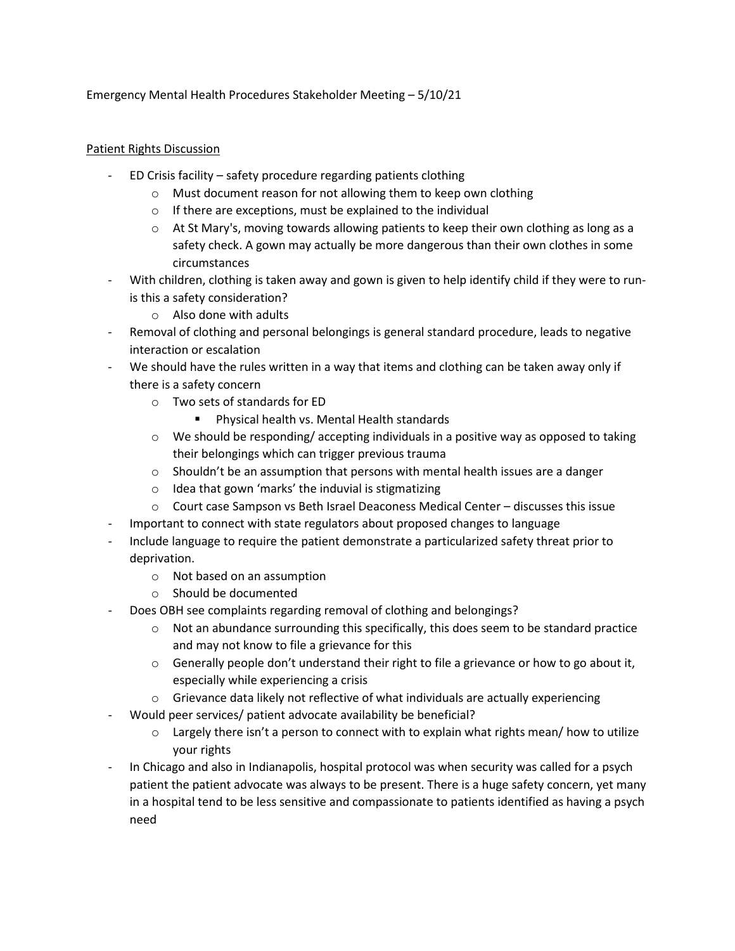Emergency Mental Health Procedures Stakeholder Meeting – 5/10/21

## Patient Rights Discussion

- ED Crisis facility safety procedure regarding patients clothing
	- o Must document reason for not allowing them to keep own clothing
	- o If there are exceptions, must be explained to the individual
	- $\circ$  At St Mary's, moving towards allowing patients to keep their own clothing as long as a safety check. A gown may actually be more dangerous than their own clothes in some circumstances
- With children, clothing is taken away and gown is given to help identify child if they were to runis this a safety consideration?
	- o Also done with adults
- Removal of clothing and personal belongings is general standard procedure, leads to negative interaction or escalation
- We should have the rules written in a way that items and clothing can be taken away only if there is a safety concern
	- o Two sets of standards for ED
		- **Physical health vs. Mental Health standards**
	- $\circ$  We should be responding/ accepting individuals in a positive way as opposed to taking their belongings which can trigger previous trauma
	- $\circ$  Shouldn't be an assumption that persons with mental health issues are a danger
	- o Idea that gown 'marks' the induvial is stigmatizing
	- $\circ$  Court case Sampson vs Beth Israel Deaconess Medical Center discusses this issue
- Important to connect with state regulators about proposed changes to language
- Include language to require the patient demonstrate a particularized safety threat prior to deprivation.
	- o Not based on an assumption
	- o Should be documented
- Does OBH see complaints regarding removal of clothing and belongings?
	- $\circ$  Not an abundance surrounding this specifically, this does seem to be standard practice and may not know to file a grievance for this
	- $\circ$  Generally people don't understand their right to file a grievance or how to go about it, especially while experiencing a crisis
	- $\circ$  Grievance data likely not reflective of what individuals are actually experiencing
- Would peer services/ patient advocate availability be beneficial?
	- $\circ$  Largely there isn't a person to connect with to explain what rights mean/ how to utilize your rights
- In Chicago and also in Indianapolis, hospital protocol was when security was called for a psych patient the patient advocate was always to be present. There is a huge safety concern, yet many in a hospital tend to be less sensitive and compassionate to patients identified as having a psych need